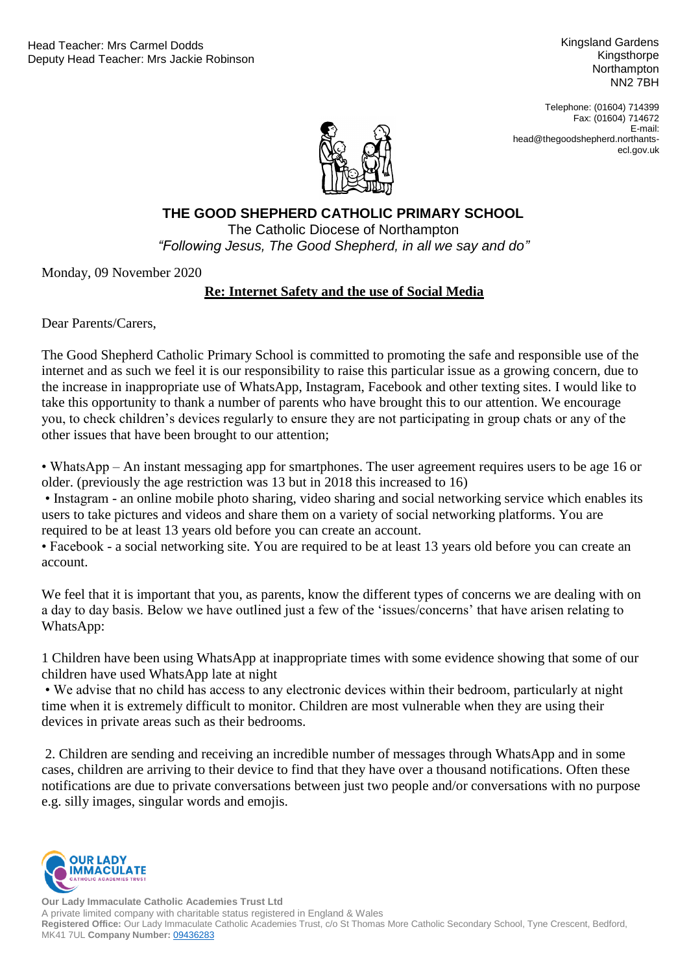Kingsland Gardens Kingsthorpe **Northampton** NN2 7BH

Telephone: (01604) 714399 Fax: (01604) 714672 E-mail: head@thegoodshepherd.northantsecl.gov.uk



**THE GOOD SHEPHERD CATHOLIC PRIMARY SCHOOL**

"Following Jesus, The Good Shepherd, in all we say and do" The Catholic Diocese of Northampton

Monday, 09 November 2020

## **Re: Internet Safety and the use of Social Media**

Dear Parents/Carers,

The Good Shepherd Catholic Primary School is committed to promoting the safe and responsible use of the internet and as such we feel it is our responsibility to raise this particular issue as a growing concern, due to the increase in inappropriate use of WhatsApp, Instagram, Facebook and other texting sites. I would like to take this opportunity to thank a number of parents who have brought this to our attention. We encourage you, to check children's devices regularly to ensure they are not participating in group chats or any of the other issues that have been brought to our attention;

• WhatsApp – An instant messaging app for smartphones. The user agreement requires users to be age 16 or older. (previously the age restriction was 13 but in 2018 this increased to 16)

• Instagram - an online mobile photo sharing, video sharing and social networking service which enables its users to take pictures and videos and share them on a variety of social networking platforms. You are required to be at least 13 years old before you can create an account.

• Facebook - a social networking site. You are required to be at least 13 years old before you can create an account.

We feel that it is important that you, as parents, know the different types of concerns we are dealing with on a day to day basis. Below we have outlined just a few of the 'issues/concerns' that have arisen relating to WhatsApp:

1 Children have been using WhatsApp at inappropriate times with some evidence showing that some of our children have used WhatsApp late at night

• We advise that no child has access to any electronic devices within their bedroom, particularly at night time when it is extremely difficult to monitor. Children are most vulnerable when they are using their devices in private areas such as their bedrooms.

2. Children are sending and receiving an incredible number of messages through WhatsApp and in some cases, children are arriving to their device to find that they have over a thousand notifications. Often these notifications are due to private conversations between just two people and/or conversations with no purpose e.g. silly images, singular words and emojis.



**Our Lady Immaculate Catholic Academies Trust Ltd** A private limited company with charitable status registered in England & Wales **Registered Office:** Our Lady Immaculate Catholic Academies Trust, c/o St Thomas More Catholic Secondary School, Tyne Crescent, Bedford, MK41 7UL **Company Number:** [09436283](https://beta.companieshouse.gov.uk/company/09436283)